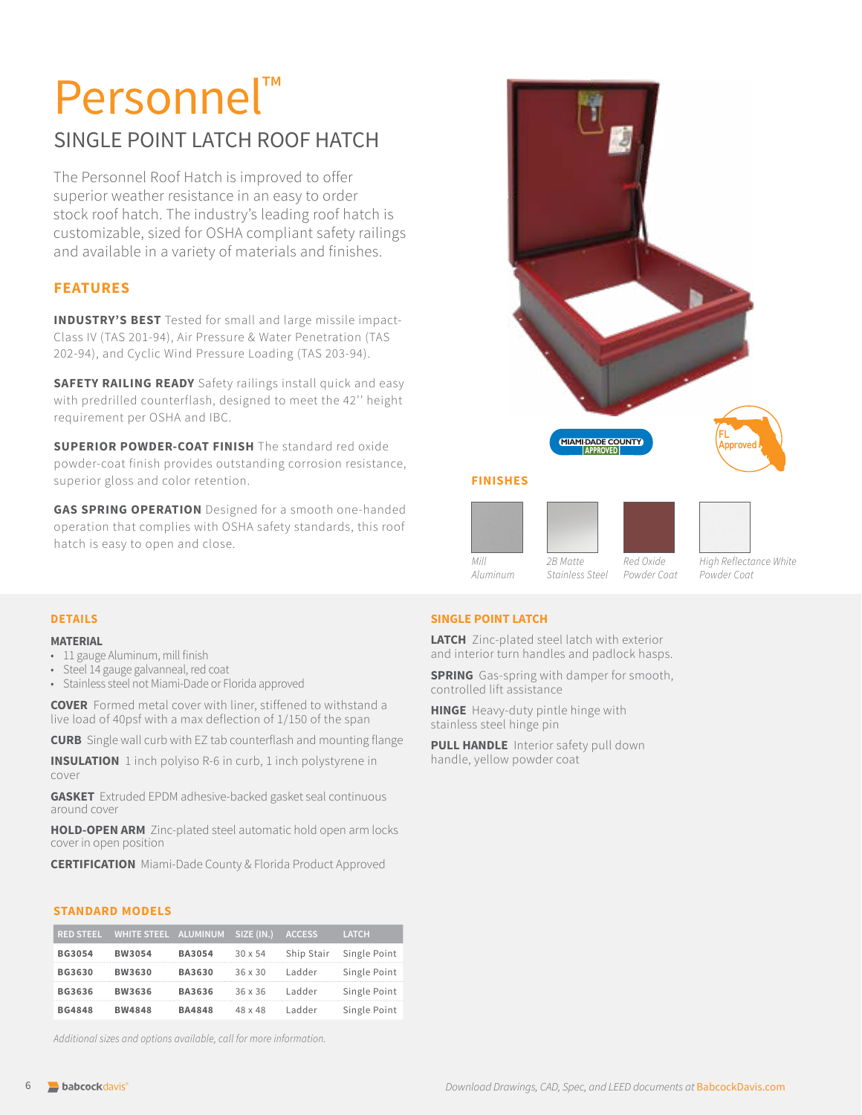# Personnel SINGLE POINT LATCH ROOF HATCH

The Personnel Roof Hatch is improved to offer superior weather resistance in an easy to order stock roof hatch. The industry's leading roof hatch is customizable, sized for OSHA compliant safety railings and available in a variety of materials and finishes.

# **FEATURES**

**INDUSTRY'S BEST** Tested for small and large missile impact-Class IV (TAS 201-94), Air Pressure & Water Penetration (TAS 202-94), and Cyclic Wind Pressure Loading (TAS 203-94).

**SAFETY RAILING READY** Safety railings install quick and easy with predrilled counterflash, designed to meet the 42'' height requirement per OSHA and IBC.

**SUPERIOR POWDER-COAT FINISH** The standard red oxide powder-coat finish provides outstanding corrosion resistance, superior gloss and color retention.

**GAS SPRING OPERATION** Designed for a smooth one-handed operation that complies with OSHA safety standards, this roof hatch is easy to open and close.



*Aluminum*

*Powder Coat*

*Powder Coat*

#### **DETAILS**

#### **MATERIAL**

- 11 gauge Aluminum, mill finish
- Steel 14 gauge galvanneal, red coat
- Stainless steel not Miami-Dade or Florida approved

**COVER** Formed metal cover with liner, stiffened to withstand a live load of 40psf with a max deflection of 1/150 of the span

**CURB** Single wall curb with EZ tab counterflash and mounting flange

**INSULATION** 1 inch polyiso R-6 in curb, 1 inch polystyrene in cover

**GASKET** Extruded EPDM adhesive-backed gasket seal continuous around cover

**HOLD-OPEN ARM** Zinc-plated steel automatic hold open arm locks cover in open position

**CERTIFICATION** Miami-Dade County & Florida Product Approved

#### **STANDARD MODELS**

| <b>RED STEEL</b> | WHITE STEEL ALUMINUM SIZE (IN.) |               |                | <b>ACCESS</b> | <b>LATCH</b> |
|------------------|---------------------------------|---------------|----------------|---------------|--------------|
| <b>BG3054</b>    | <b>BW3054</b>                   | <b>BA3054</b> | $30 \times 54$ | Ship Stair    | Single Point |
| BG3630           | <b>BW3630</b>                   | <b>BA3630</b> | $36 \times 30$ | Ladder        | Single Point |
| BG3636           | <b>BW3636</b>                   | BA3636        | $36 \times 36$ | Ladder        | Single Point |
| <b>BG4848</b>    | <b>BW4848</b>                   | <b>BA4848</b> | $48 \times 48$ | Ladder        | Single Point |

*Additional sizes and options available, call for more information.*

#### **SINGLE POINT LATCH**

**LATCH** Zinc-plated steel latch with exterior and interior turn handles and padlock hasps.

*Stainless Steel*

**SPRING** Gas-spring with damper for smooth, controlled lift assistance

**HINGE** Heavy-duty pintle hinge with stainless steel hinge pin

**PULL HANDLE** Interior safety pull down handle, yellow powder coat